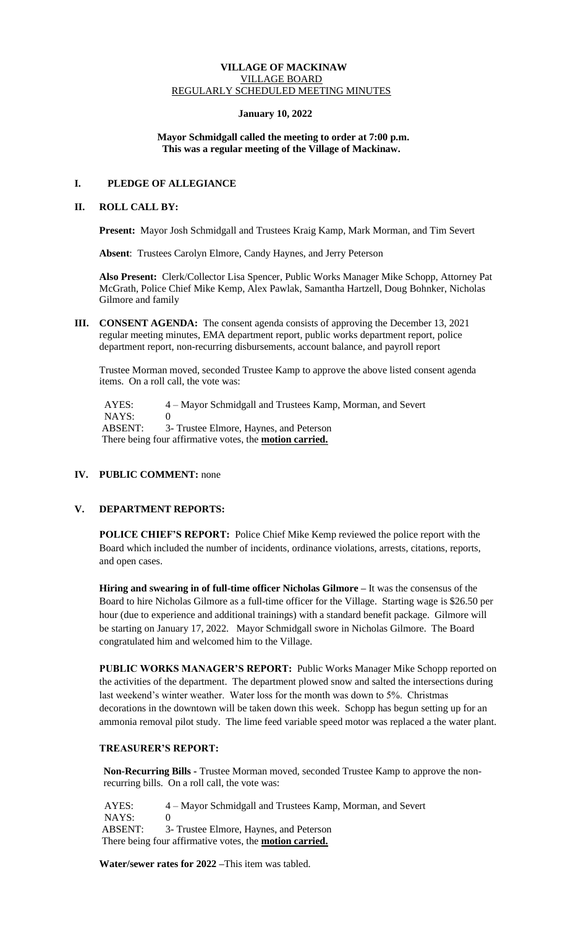# **VILLAGE OF MACKINAW** VILLAGE BOARD REGULARLY SCHEDULED MEETING MINUTES

## **January 10, 2022**

## **Mayor Schmidgall called the meeting to order at 7:00 p.m. This was a regular meeting of the Village of Mackinaw.**

# **I. PLEDGE OF ALLEGIANCE**

### **II. ROLL CALL BY:**

**Present:** Mayor Josh Schmidgall and Trustees Kraig Kamp, Mark Morman, and Tim Severt

 **Absent**: Trustees Carolyn Elmore, Candy Haynes, and Jerry Peterson

**Also Present:** Clerk/Collector Lisa Spencer, Public Works Manager Mike Schopp, Attorney Pat McGrath, Police Chief Mike Kemp, Alex Pawlak, Samantha Hartzell, Doug Bohnker, Nicholas Gilmore and family

**III. CONSENT AGENDA:** The consent agenda consists of approving the December 13, 2021 regular meeting minutes, EMA department report, public works department report, police department report, non-recurring disbursements, account balance, and payroll report

Trustee Morman moved, seconded Trustee Kamp to approve the above listed consent agenda items. On a roll call, the vote was:

AYES: 4 – Mayor Schmidgall and Trustees Kamp, Morman, and Severt NAYS: 0 ABSENT: 3- Trustee Elmore, Haynes, and Peterson There being four affirmative votes, the **motion carried.**

# **IV. PUBLIC COMMENT:** none

# **V. DEPARTMENT REPORTS:**

**POLICE CHIEF'S REPORT:** Police Chief Mike Kemp reviewed the police report with the Board which included the number of incidents, ordinance violations, arrests, citations, reports, and open cases.

**Hiring and swearing in of full-time officer Nicholas Gilmore –** It was the consensus of the Board to hire Nicholas Gilmore as a full-time officer for the Village. Starting wage is \$26.50 per hour (due to experience and additional trainings) with a standard benefit package. Gilmore will be starting on January 17, 2022. Mayor Schmidgall swore in Nicholas Gilmore. The Board congratulated him and welcomed him to the Village.

**PUBLIC WORKS MANAGER'S REPORT:** Public Works Manager Mike Schopp reported on the activities of the department. The department plowed snow and salted the intersections during last weekend's winter weather. Water loss for the month was down to 5%. Christmas decorations in the downtown will be taken down this week. Schopp has begun setting up for an ammonia removal pilot study. The lime feed variable speed motor was replaced a the water plant.

# **TREASURER'S REPORT:**

**Non-Recurring Bills -** Trustee Morman moved, seconded Trustee Kamp to approve the nonrecurring bills. On a roll call, the vote was:

 AYES: 4 – Mayor Schmidgall and Trustees Kamp, Morman, and Severt NAYS: 0<br>ABSENT: 3 3- Trustee Elmore, Haynes, and Peterson There being four affirmative votes, the **motion carried.**

**Water/sewer rates for 2022 –**This item was tabled.